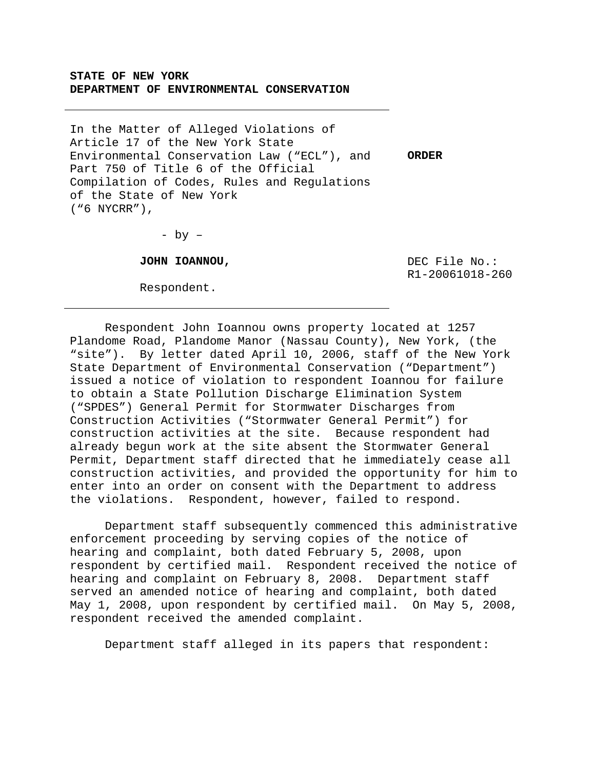# **STATE OF NEW YORK DEPARTMENT OF ENVIRONMENTAL CONSERVATION**

In the Matter of Alleged Violations of Article 17 of the New York State Environmental Conservation Law ("ECL"), and **ORDER**  Part 750 of Title 6 of the Official Compilation of Codes, Rules and Regulations of the State of New York ("6 NYCRR"),

 $-$  by  $-$ 

**JOHN IOANNOU,** 

Respondent.

 DEC File No.: R1-20061018-260

 Respondent John Ioannou owns property located at 1257 Plandome Road, Plandome Manor (Nassau County), New York, (the "site"). By letter dated April 10, 2006, staff of the New York State Department of Environmental Conservation ("Department") issued a notice of violation to respondent Ioannou for failure to obtain a State Pollution Discharge Elimination System ("SPDES") General Permit for Stormwater Discharges from Construction Activities ("Stormwater General Permit") for construction activities at the site. Because respondent had already begun work at the site absent the Stormwater General Permit, Department staff directed that he immediately cease all construction activities, and provided the opportunity for him to enter into an order on consent with the Department to address the violations. Respondent, however, failed to respond.

Department staff subsequently commenced this administrative enforcement proceeding by serving copies of the notice of hearing and complaint, both dated February 5, 2008, upon respondent by certified mail. Respondent received the notice of hearing and complaint on February 8, 2008. Department staff served an amended notice of hearing and complaint, both dated May 1, 2008, upon respondent by certified mail. On May 5, 2008, respondent received the amended complaint.

Department staff alleged in its papers that respondent: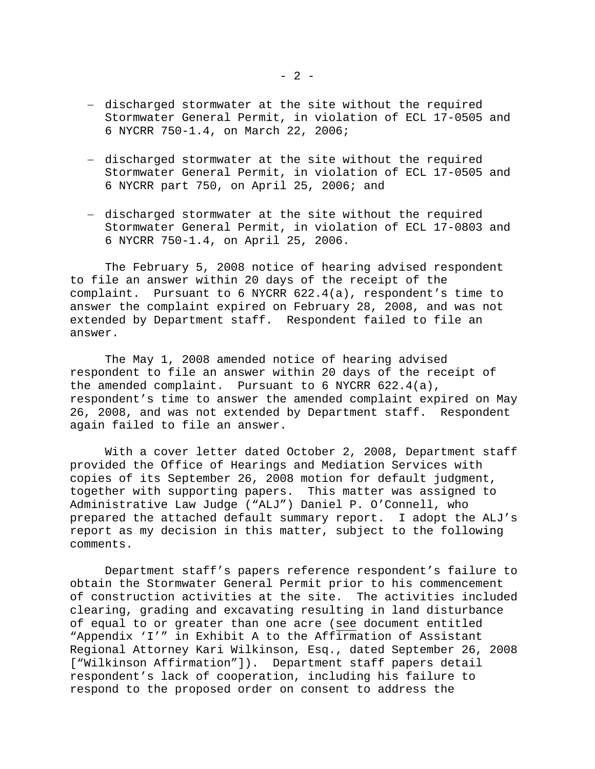- − discharged stormwater at the site without the required Stormwater General Permit, in violation of ECL 17-0505 and 6 NYCRR 750-1.4, on March 22, 2006;
- − discharged stormwater at the site without the required Stormwater General Permit, in violation of ECL 17-0505 and 6 NYCRR part 750, on April 25, 2006; and
- − discharged stormwater at the site without the required Stormwater General Permit, in violation of ECL 17-0803 and 6 NYCRR 750-1.4, on April 25, 2006.

The February 5, 2008 notice of hearing advised respondent to file an answer within 20 days of the receipt of the complaint. Pursuant to 6 NYCRR 622.4(a), respondent's time to answer the complaint expired on February 28, 2008, and was not extended by Department staff. Respondent failed to file an answer.

 The May 1, 2008 amended notice of hearing advised respondent to file an answer within 20 days of the receipt of the amended complaint. Pursuant to 6 NYCRR 622.4(a), respondent's time to answer the amended complaint expired on May 26, 2008, and was not extended by Department staff. Respondent again failed to file an answer.

 With a cover letter dated October 2, 2008, Department staff provided the Office of Hearings and Mediation Services with copies of its September 26, 2008 motion for default judgment, together with supporting papers. This matter was assigned to Administrative Law Judge ("ALJ") Daniel P. O'Connell, who prepared the attached default summary report. I adopt the ALJ's report as my decision in this matter, subject to the following comments.

 Department staff's papers reference respondent's failure to obtain the Stormwater General Permit prior to his commencement of construction activities at the site. The activities included clearing, grading and excavating resulting in land disturbance of equal to or greater than one acre (see document entitled "Appendix 'I'" in Exhibit A to the Affirmation of Assistant Regional Attorney Kari Wilkinson, Esq., dated September 26, 2008 ["Wilkinson Affirmation"]). Department staff papers detail respondent's lack of cooperation, including his failure to respond to the proposed order on consent to address the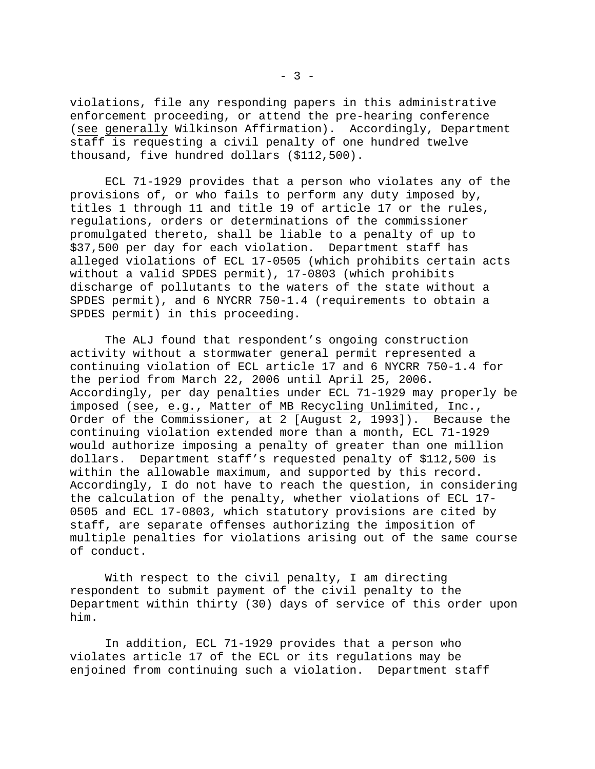violations, file any responding papers in this administrative enforcement proceeding, or attend the pre-hearing conference (see generally Wilkinson Affirmation). Accordingly, Department staff is requesting a civil penalty of one hundred twelve thousand, five hundred dollars (\$112,500).

 ECL 71-1929 provides that a person who violates any of the provisions of, or who fails to perform any duty imposed by, titles 1 through 11 and title 19 of article 17 or the rules, regulations, orders or determinations of the commissioner promulgated thereto, shall be liable to a penalty of up to \$37,500 per day for each violation. Department staff has alleged violations of ECL 17-0505 (which prohibits certain acts without a valid SPDES permit), 17-0803 (which prohibits discharge of pollutants to the waters of the state without a SPDES permit), and 6 NYCRR 750-1.4 (requirements to obtain a SPDES permit) in this proceeding.

The ALJ found that respondent's ongoing construction activity without a stormwater general permit represented a continuing violation of ECL article 17 and 6 NYCRR 750-1.4 for the period from March 22, 2006 until April 25, 2006. Accordingly, per day penalties under ECL 71-1929 may properly be imposed (see, e.g., Matter of MB Recycling Unlimited, Inc., Order of the Commissioner, at 2 [August 2, 1993]). Because the continuing violation extended more than a month, ECL 71-1929 would authorize imposing a penalty of greater than one million dollars. Department staff's requested penalty of \$112,500 is within the allowable maximum, and supported by this record. Accordingly, I do not have to reach the question, in considering the calculation of the penalty, whether violations of ECL 17- 0505 and ECL 17-0803, which statutory provisions are cited by staff, are separate offenses authorizing the imposition of multiple penalties for violations arising out of the same course of conduct.

With respect to the civil penalty, I am directing respondent to submit payment of the civil penalty to the Department within thirty (30) days of service of this order upon him.

 In addition, ECL 71-1929 provides that a person who violates article 17 of the ECL or its regulations may be enjoined from continuing such a violation. Department staff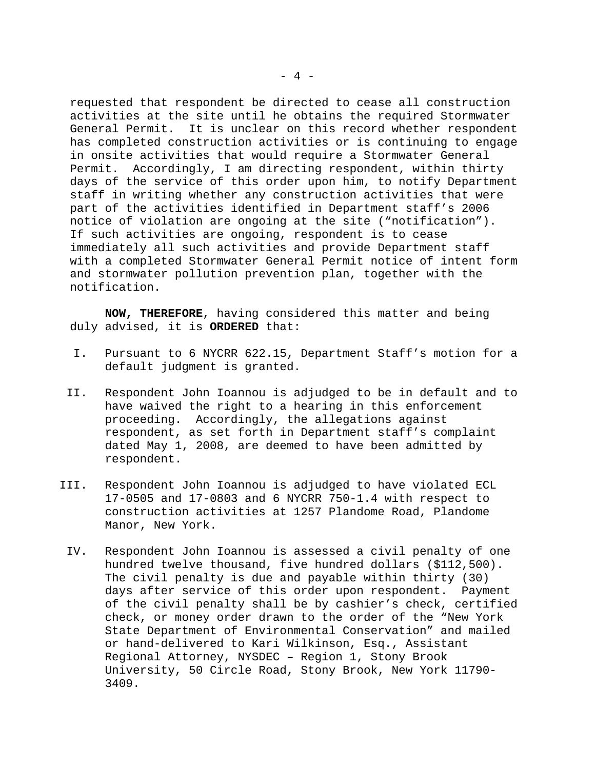requested that respondent be directed to cease all construction activities at the site until he obtains the required Stormwater General Permit. It is unclear on this record whether respondent has completed construction activities or is continuing to engage in onsite activities that would require a Stormwater General Permit. Accordingly, I am directing respondent, within thirty days of the service of this order upon him, to notify Department staff in writing whether any construction activities that were part of the activities identified in Department staff's 2006 notice of violation are ongoing at the site ("notification"). If such activities are ongoing, respondent is to cease immediately all such activities and provide Department staff with a completed Stormwater General Permit notice of intent form and stormwater pollution prevention plan, together with the notification.

**NOW, THEREFORE**, having considered this matter and being duly advised, it is **ORDERED** that:

- I. Pursuant to 6 NYCRR 622.15, Department Staff's motion for a default judgment is granted.
- II. Respondent John Ioannou is adjudged to be in default and to have waived the right to a hearing in this enforcement proceeding. Accordingly, the allegations against respondent, as set forth in Department staff's complaint dated May 1, 2008, are deemed to have been admitted by respondent.
- III. Respondent John Ioannou is adjudged to have violated ECL 17-0505 and 17-0803 and 6 NYCRR 750-1.4 with respect to construction activities at 1257 Plandome Road, Plandome Manor, New York.
	- IV. Respondent John Ioannou is assessed a civil penalty of one hundred twelve thousand, five hundred dollars (\$112,500). The civil penalty is due and payable within thirty (30) days after service of this order upon respondent. Payment of the civil penalty shall be by cashier's check, certified check, or money order drawn to the order of the "New York State Department of Environmental Conservation" and mailed or hand-delivered to Kari Wilkinson, Esq., Assistant Regional Attorney, NYSDEC – Region 1, Stony Brook University, 50 Circle Road, Stony Brook, New York 11790- 3409.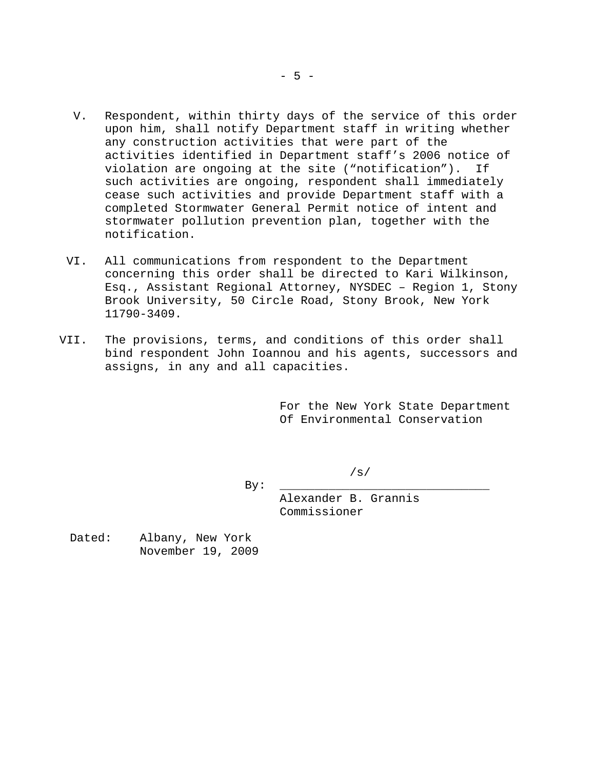- V. Respondent, within thirty days of the service of this order upon him, shall notify Department staff in writing whether any construction activities that were part of the activities identified in Department staff's 2006 notice of violation are ongoing at the site ("notification"). If such activities are ongoing, respondent shall immediately cease such activities and provide Department staff with a completed Stormwater General Permit notice of intent and stormwater pollution prevention plan, together with the notification.
- VI. All communications from respondent to the Department concerning this order shall be directed to Kari Wilkinson, Esq., Assistant Regional Attorney, NYSDEC – Region 1, Stony Brook University, 50 Circle Road, Stony Brook, New York 11790-3409.
- VII. The provisions, terms, and conditions of this order shall bind respondent John Ioannou and his agents, successors and assigns, in any and all capacities.

For the New York State Department Of Environmental Conservation

/s/

By: \_\_\_\_\_\_\_\_\_\_\_\_\_\_\_\_\_\_\_\_\_\_\_\_\_\_\_\_\_\_

Alexander B. Grannis Commissioner

Dated: Albany, New York November 19, 2009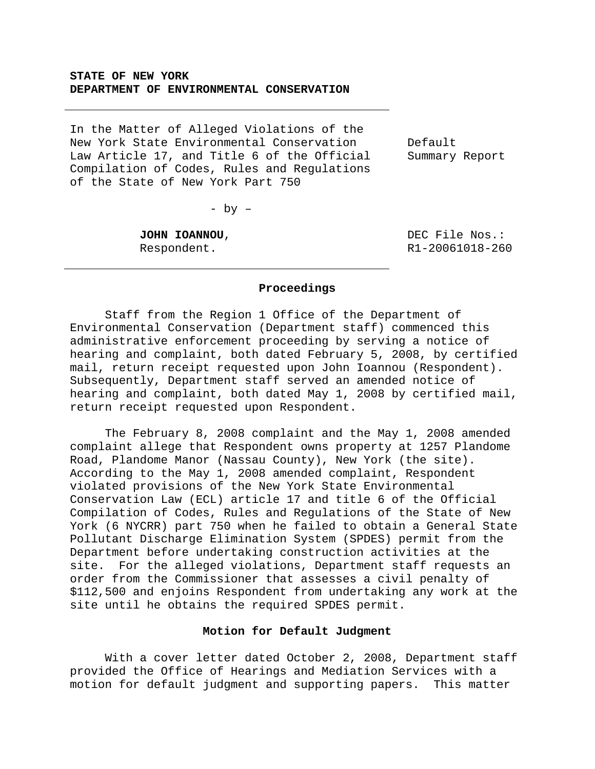# **STATE OF NEW YORK DEPARTMENT OF ENVIRONMENTAL CONSERVATION**

In the Matter of Alleged Violations of the New York State Environmental Conservation Law Article 17, and Title 6 of the Official Compilation of Codes, Rules and Regulations of the State of New York Part 750

Default Summary Report

- by –

**JOHN IOANNOU**, Respondent.

 DEC File Nos.: R1-20061018-260

#### **Proceedings**

 Staff from the Region 1 Office of the Department of Environmental Conservation (Department staff) commenced this administrative enforcement proceeding by serving a notice of hearing and complaint, both dated February 5, 2008, by certified mail, return receipt requested upon John Ioannou (Respondent). Subsequently, Department staff served an amended notice of hearing and complaint, both dated May 1, 2008 by certified mail, return receipt requested upon Respondent.

 The February 8, 2008 complaint and the May 1, 2008 amended complaint allege that Respondent owns property at 1257 Plandome Road, Plandome Manor (Nassau County), New York (the site). According to the May 1, 2008 amended complaint, Respondent violated provisions of the New York State Environmental Conservation Law (ECL) article 17 and title 6 of the Official Compilation of Codes, Rules and Regulations of the State of New York (6 NYCRR) part 750 when he failed to obtain a General State Pollutant Discharge Elimination System (SPDES) permit from the Department before undertaking construction activities at the site. For the alleged violations, Department staff requests an order from the Commissioner that assesses a civil penalty of \$112,500 and enjoins Respondent from undertaking any work at the site until he obtains the required SPDES permit.

# **Motion for Default Judgment**

 With a cover letter dated October 2, 2008, Department staff provided the Office of Hearings and Mediation Services with a motion for default judgment and supporting papers. This matter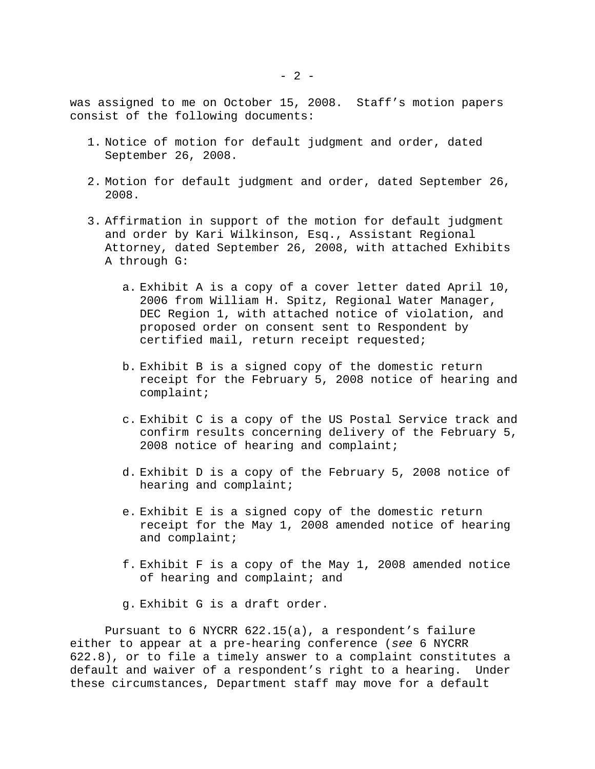was assigned to me on October 15, 2008. Staff's motion papers consist of the following documents:

- 1. Notice of motion for default judgment and order, dated September 26, 2008.
- 2. Motion for default judgment and order, dated September 26, 2008.
- 3. Affirmation in support of the motion for default judgment and order by Kari Wilkinson, Esq., Assistant Regional Attorney, dated September 26, 2008, with attached Exhibits A through G:
	- a. Exhibit A is a copy of a cover letter dated April 10, 2006 from William H. Spitz, Regional Water Manager, DEC Region 1, with attached notice of violation, and proposed order on consent sent to Respondent by certified mail, return receipt requested;
	- b. Exhibit B is a signed copy of the domestic return receipt for the February 5, 2008 notice of hearing and complaint;
	- c. Exhibit C is a copy of the US Postal Service track and confirm results concerning delivery of the February 5, 2008 notice of hearing and complaint;
	- d. Exhibit D is a copy of the February 5, 2008 notice of hearing and complaint;
	- e. Exhibit E is a signed copy of the domestic return receipt for the May 1, 2008 amended notice of hearing and complaint;
	- f. Exhibit F is a copy of the May 1, 2008 amended notice of hearing and complaint; and
	- g. Exhibit G is a draft order.

 Pursuant to 6 NYCRR 622.15(a), a respondent's failure either to appear at a pre-hearing conference (*see* 6 NYCRR 622.8), or to file a timely answer to a complaint constitutes a default and waiver of a respondent's right to a hearing. Under these circumstances, Department staff may move for a default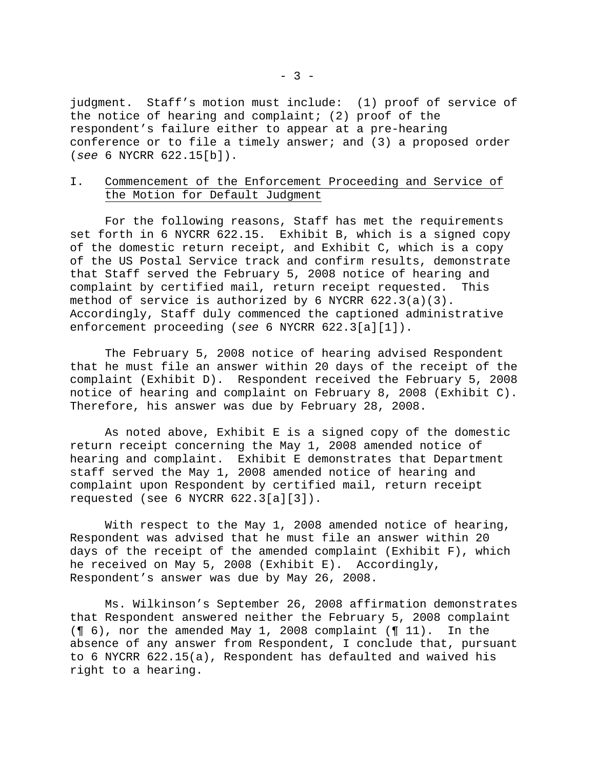judgment. Staff's motion must include: (1) proof of service of the notice of hearing and complaint;  $(2)$  proof of the respondent's failure either to appear at a pre-hearing conference or to file a timely answer; and (3) a proposed order (*see* 6 NYCRR 622.15[b]).

# I. Commencement of the Enforcement Proceeding and Service of the Motion for Default Judgment

 For the following reasons, Staff has met the requirements set forth in 6 NYCRR 622.15. Exhibit B, which is a signed copy of the domestic return receipt, and Exhibit C, which is a copy of the US Postal Service track and confirm results, demonstrate that Staff served the February 5, 2008 notice of hearing and complaint by certified mail, return receipt requested. This method of service is authorized by 6 NYCRR 622.3(a)(3). Accordingly, Staff duly commenced the captioned administrative enforcement proceeding (*see* 6 NYCRR 622.3[a][1]).

 The February 5, 2008 notice of hearing advised Respondent that he must file an answer within 20 days of the receipt of the complaint (Exhibit D). Respondent received the February 5, 2008 notice of hearing and complaint on February 8, 2008 (Exhibit C). Therefore, his answer was due by February 28, 2008.

 As noted above, Exhibit E is a signed copy of the domestic return receipt concerning the May 1, 2008 amended notice of hearing and complaint. Exhibit E demonstrates that Department staff served the May 1, 2008 amended notice of hearing and complaint upon Respondent by certified mail, return receipt requested (see 6 NYCRR 622.3[a][3]).

 With respect to the May 1, 2008 amended notice of hearing, Respondent was advised that he must file an answer within 20 days of the receipt of the amended complaint (Exhibit F), which he received on May 5, 2008 (Exhibit E). Accordingly, Respondent's answer was due by May 26, 2008.

 Ms. Wilkinson's September 26, 2008 affirmation demonstrates that Respondent answered neither the February 5, 2008 complaint (¶ 6), nor the amended May 1, 2008 complaint (¶ 11). In the absence of any answer from Respondent, I conclude that, pursuant to 6 NYCRR 622.15(a), Respondent has defaulted and waived his right to a hearing.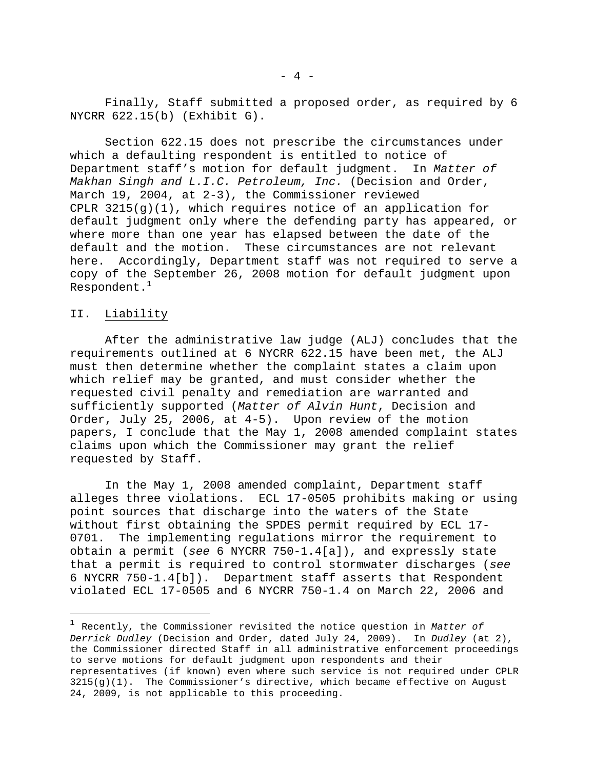Finally, Staff submitted a proposed order, as required by 6 NYCRR 622.15(b) (Exhibit G).

 Section 622.15 does not prescribe the circumstances under which a defaulting respondent is entitled to notice of Department staff's motion for default judgment. In *Matter of Makhan Singh and L.I.C. Petroleum, Inc.* (Decision and Order, March 19, 2004, at 2-3), the Commissioner reviewed CPLR 3215(g)(1), which requires notice of an application for default judgment only where the defending party has appeared, or where more than one year has elapsed between the date of the default and the motion. These circumstances are not relevant here. Accordingly, Department staff was not required to serve a copy of the September 26, 2008 motion for default judgment upon Respondent. $^{\rm 1}$ 

#### II. Liability

i<br>Li

 After the administrative law judge (ALJ) concludes that the requirements outlined at 6 NYCRR 622.15 have been met, the ALJ must then determine whether the complaint states a claim upon which relief may be granted, and must consider whether the requested civil penalty and remediation are warranted and sufficiently supported (*Matter of Alvin Hunt*, Decision and Order, July 25, 2006, at 4-5). Upon review of the motion papers, I conclude that the May 1, 2008 amended complaint states claims upon which the Commissioner may grant the relief requested by Staff.

 In the May 1, 2008 amended complaint, Department staff alleges three violations. ECL 17-0505 prohibits making or using point sources that discharge into the waters of the State without first obtaining the SPDES permit required by ECL 17- 0701. The implementing regulations mirror the requirement to obtain a permit (*see* 6 NYCRR 750-1.4[a]), and expressly state that a permit is required to control stormwater discharges (*see* 6 NYCRR 750-1.4[b]). Department staff asserts that Respondent violated ECL 17-0505 and 6 NYCRR 750-1.4 on March 22, 2006 and

<sup>1</sup> Recently, the Commissioner revisited the notice question in *Matter of Derrick Dudley* (Decision and Order, dated July 24, 2009). In *Dudley* (at 2), the Commissioner directed Staff in all administrative enforcement proceedings to serve motions for default judgment upon respondents and their representatives (if known) even where such service is not required under CPLR 3215(g)(1). The Commissioner's directive, which became effective on August 24, 2009, is not applicable to this proceeding.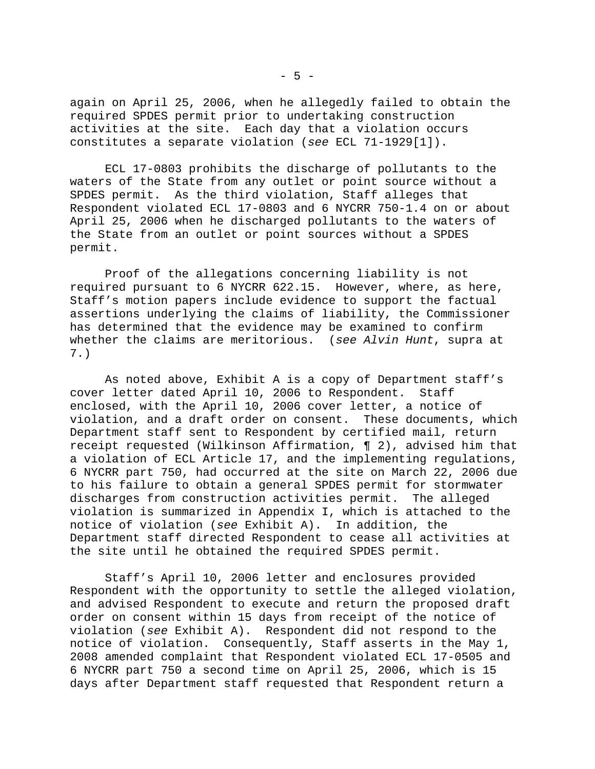again on April 25, 2006, when he allegedly failed to obtain the required SPDES permit prior to undertaking construction activities at the site. Each day that a violation occurs constitutes a separate violation (*see* ECL 71-1929[1]).

 ECL 17-0803 prohibits the discharge of pollutants to the waters of the State from any outlet or point source without a SPDES permit. As the third violation, Staff alleges that Respondent violated ECL 17-0803 and 6 NYCRR 750-1.4 on or about April 25, 2006 when he discharged pollutants to the waters of the State from an outlet or point sources without a SPDES permit.

 Proof of the allegations concerning liability is not required pursuant to 6 NYCRR 622.15. However, where, as here, Staff's motion papers include evidence to support the factual assertions underlying the claims of liability, the Commissioner has determined that the evidence may be examined to confirm whether the claims are meritorious. (*see Alvin Hunt*, supra at 7.)

 As noted above, Exhibit A is a copy of Department staff's cover letter dated April 10, 2006 to Respondent. Staff enclosed, with the April 10, 2006 cover letter, a notice of violation, and a draft order on consent. These documents, which Department staff sent to Respondent by certified mail, return receipt requested (Wilkinson Affirmation, ¶ 2), advised him that a violation of ECL Article 17, and the implementing regulations, 6 NYCRR part 750, had occurred at the site on March 22, 2006 due to his failure to obtain a general SPDES permit for stormwater discharges from construction activities permit. The alleged violation is summarized in Appendix I, which is attached to the notice of violation (*see* Exhibit A). In addition, the Department staff directed Respondent to cease all activities at the site until he obtained the required SPDES permit.

 Staff's April 10, 2006 letter and enclosures provided Respondent with the opportunity to settle the alleged violation, and advised Respondent to execute and return the proposed draft order on consent within 15 days from receipt of the notice of violation (*see* Exhibit A). Respondent did not respond to the notice of violation. Consequently, Staff asserts in the May 1, 2008 amended complaint that Respondent violated ECL 17-0505 and 6 NYCRR part 750 a second time on April 25, 2006, which is 15 days after Department staff requested that Respondent return a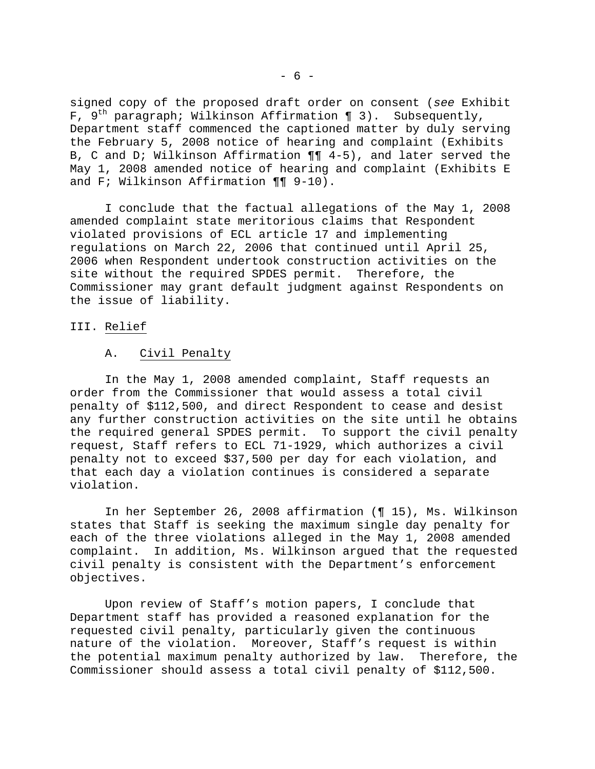signed copy of the proposed draft order on consent (*see* Exhibit F,  $9^{th}$  paragraph; Wilkinson Affirmation ¶ 3). Subsequently, Department staff commenced the captioned matter by duly serving the February 5, 2008 notice of hearing and complaint (Exhibits B, C and D; Wilkinson Affirmation ¶¶ 4-5), and later served the May 1, 2008 amended notice of hearing and complaint (Exhibits E and F; Wilkinson Affirmation ¶¶ 9-10).

 I conclude that the factual allegations of the May 1, 2008 amended complaint state meritorious claims that Respondent violated provisions of ECL article 17 and implementing regulations on March 22, 2006 that continued until April 25, 2006 when Respondent undertook construction activities on the site without the required SPDES permit. Therefore, the Commissioner may grant default judgment against Respondents on the issue of liability.

# III. Relief

### A. Civil Penalty

 In the May 1, 2008 amended complaint, Staff requests an order from the Commissioner that would assess a total civil penalty of \$112,500, and direct Respondent to cease and desist any further construction activities on the site until he obtains the required general SPDES permit. To support the civil penalty request, Staff refers to ECL 71-1929, which authorizes a civil penalty not to exceed \$37,500 per day for each violation, and that each day a violation continues is considered a separate violation.

 In her September 26, 2008 affirmation (¶ 15), Ms. Wilkinson states that Staff is seeking the maximum single day penalty for each of the three violations alleged in the May 1, 2008 amended complaint. In addition, Ms. Wilkinson argued that the requested civil penalty is consistent with the Department's enforcement objectives.

 Upon review of Staff's motion papers, I conclude that Department staff has provided a reasoned explanation for the requested civil penalty, particularly given the continuous nature of the violation. Moreover, Staff's request is within the potential maximum penalty authorized by law. Therefore, the Commissioner should assess a total civil penalty of \$112,500.